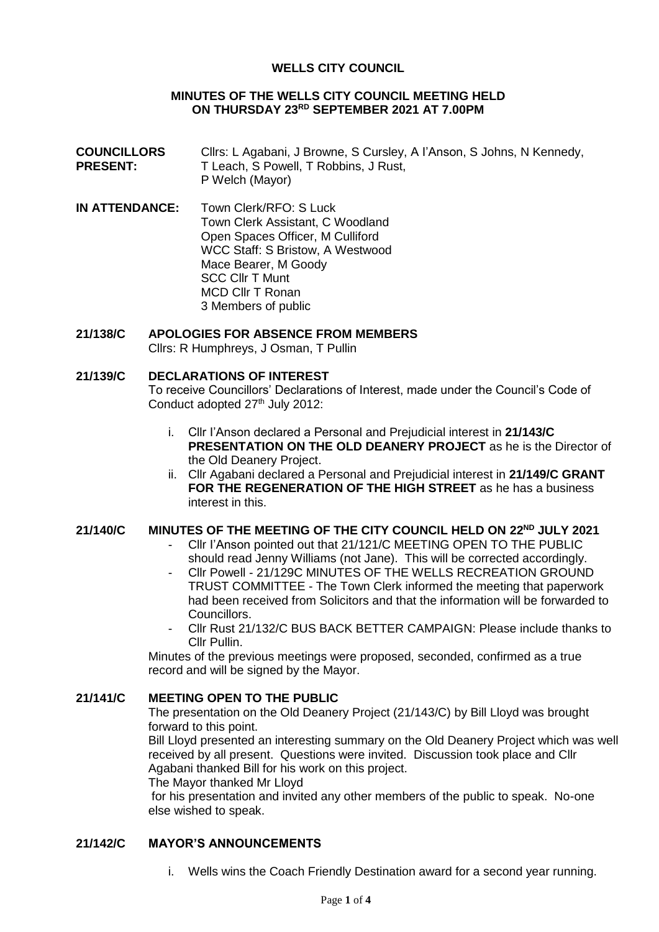### **WELLS CITY COUNCIL**

#### **MINUTES OF THE WELLS CITY COUNCIL MEETING HELD ON THURSDAY 23RD SEPTEMBER 2021 AT 7.00PM**

- **COUNCILLORS PRESENT:** Cllrs: L Agabani, J Browne, S Cursley, A I'Anson, S Johns, N Kennedy, T Leach, S Powell, T Robbins, J Rust, P Welch (Mayor)
- **IN ATTENDANCE:** Town Clerk/RFO: S Luck Town Clerk Assistant, C Woodland Open Spaces Officer, M Culliford WCC Staff: S Bristow, A Westwood Mace Bearer, M Goody SCC Cllr T Munt MCD Cllr T Ronan 3 Members of public

## **21/138/C APOLOGIES FOR ABSENCE FROM MEMBERS**

Cllrs: R Humphreys, J Osman, T Pullin

#### **21/139/C DECLARATIONS OF INTEREST**

To receive Councillors' Declarations of Interest, made under the Council's Code of Conduct adopted 27<sup>th</sup> July 2012:

- i. Cllr I'Anson declared a Personal and Prejudicial interest in **21/143/C PRESENTATION ON THE OLD DEANERY PROJECT** as he is the Director of the Old Deanery Project.
- ii. Cllr Agabani declared a Personal and Prejudicial interest in **21/149/C GRANT FOR THE REGENERATION OF THE HIGH STREET** as he has a business interest in this.

#### **21/140/C MINUTES OF THE MEETING OF THE CITY COUNCIL HELD ON 22ND JULY 2021**

- Cllr I'Anson pointed out that 21/121/C MEETING OPEN TO THE PUBLIC should read Jenny Williams (not Jane). This will be corrected accordingly.
- Cllr Powell 21/129C MINUTES OF THE WELLS RECREATION GROUND TRUST COMMITTEE - The Town Clerk informed the meeting that paperwork had been received from Solicitors and that the information will be forwarded to Councillors.
- Cllr Rust 21/132/C BUS BACK BETTER CAMPAIGN: Please include thanks to Cllr Pullin.

Minutes of the previous meetings were proposed, seconded, confirmed as a true record and will be signed by the Mayor.

### **21/141/C MEETING OPEN TO THE PUBLIC**

The presentation on the Old Deanery Project (21/143/C) by Bill Lloyd was brought forward to this point.

Bill Lloyd presented an interesting summary on the Old Deanery Project which was well received by all present. Questions were invited. Discussion took place and Cllr Agabani thanked Bill for his work on this project.

The Mayor thanked Mr Lloyd

for his presentation and invited any other members of the public to speak. No-one else wished to speak.

#### **21/142/C MAYOR'S ANNOUNCEMENTS**

i. Wells wins the Coach Friendly Destination award for a second year running.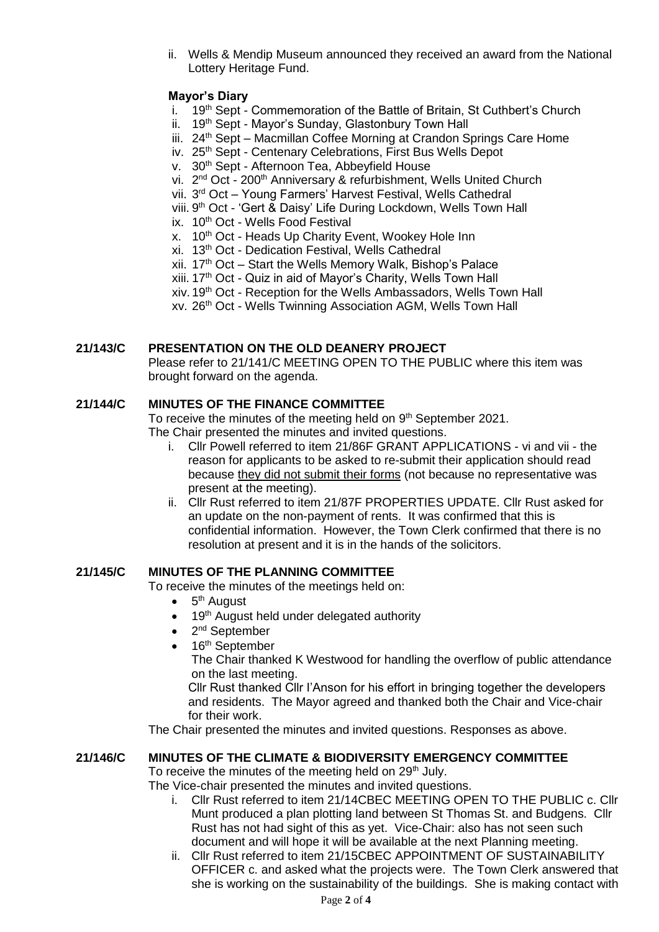ii. Wells & Mendip Museum announced they received an award from the National Lottery Heritage Fund.

## **Mayor's Diary**

- i. 19<sup>th</sup> Sept Commemoration of the Battle of Britain, St Cuthbert's Church
- ii. 19th Sept Mavor's Sunday, Glastonbury Town Hall
- iii. 24th Sept Macmillan Coffee Morning at Crandon Springs Care Home
- iv. 25<sup>th</sup> Sept Centenary Celebrations, First Bus Wells Depot
- v. 30<sup>th</sup> Sept Afternoon Tea, Abbeyfield House
- vi. 2<sup>nd</sup> Oct 200<sup>th</sup> Anniversary & refurbishment, Wells United Church
- vii. 3<sup>rd</sup> Oct Young Farmers' Harvest Festival, Wells Cathedral
- viii. 9<sup>th</sup> Oct 'Gert & Daisy' Life During Lockdown, Wells Town Hall
- ix. 10<sup>th</sup> Oct Wells Food Festival
- x. 10<sup>th</sup> Oct Heads Up Charity Event, Wookey Hole Inn
- xi. 13th Oct Dedication Festival, Wells Cathedral
- xii.  $17<sup>th</sup>$  Oct Start the Wells Memory Walk, Bishop's Palace
- xiii. 17th Oct Quiz in aid of Mayor's Charity, Wells Town Hall
- xiv. 19th Oct Reception for the Wells Ambassadors, Wells Town Hall
- xv. 26th Oct Wells Twinning Association AGM, Wells Town Hall

### **21/143/C PRESENTATION ON THE OLD DEANERY PROJECT**

Please refer to 21/141/C MEETING OPEN TO THE PUBLIC where this item was brought forward on the agenda.

### **21/144/C MINUTES OF THE FINANCE COMMITTEE**

To receive the minutes of the meeting held on 9<sup>th</sup> September 2021. The Chair presented the minutes and invited questions.

- i. Cllr Powell referred to item 21/86F GRANT APPLICATIONS vi and vii the reason for applicants to be asked to re-submit their application should read because they did not submit their forms (not because no representative was present at the meeting).
- ii. Cllr Rust referred to item 21/87F PROPERTIES UPDATE. Cllr Rust asked for an update on the non-payment of rents. It was confirmed that this is confidential information. However, the Town Clerk confirmed that there is no resolution at present and it is in the hands of the solicitors.

### **21/145/C MINUTES OF THE PLANNING COMMITTEE**

To receive the minutes of the meetings held on:

- $\bullet$  5<sup>th</sup> August
- 19<sup>th</sup> August held under delegated authority
- 2<sup>nd</sup> September
- 16<sup>th</sup> September

The Chair thanked K Westwood for handling the overflow of public attendance on the last meeting.

Cllr Rust thanked Cllr I'Anson for his effort in bringing together the developers and residents. The Mayor agreed and thanked both the Chair and Vice-chair for their work.

The Chair presented the minutes and invited questions. Responses as above.

### **21/146/C MINUTES OF THE CLIMATE & BIODIVERSITY EMERGENCY COMMITTEE**

To receive the minutes of the meeting held on 29<sup>th</sup> July.

The Vice-chair presented the minutes and invited questions.

- i. Cllr Rust referred to item 21/14CBEC MEETING OPEN TO THE PUBLIC c. Cllr Munt produced a plan plotting land between St Thomas St. and Budgens. Cllr Rust has not had sight of this as yet. Vice-Chair: also has not seen such document and will hope it will be available at the next Planning meeting.
- ii. Cllr Rust referred to item 21/15CBEC APPOINTMENT OF SUSTAINABILITY OFFICER c. and asked what the projects were. The Town Clerk answered that she is working on the sustainability of the buildings. She is making contact with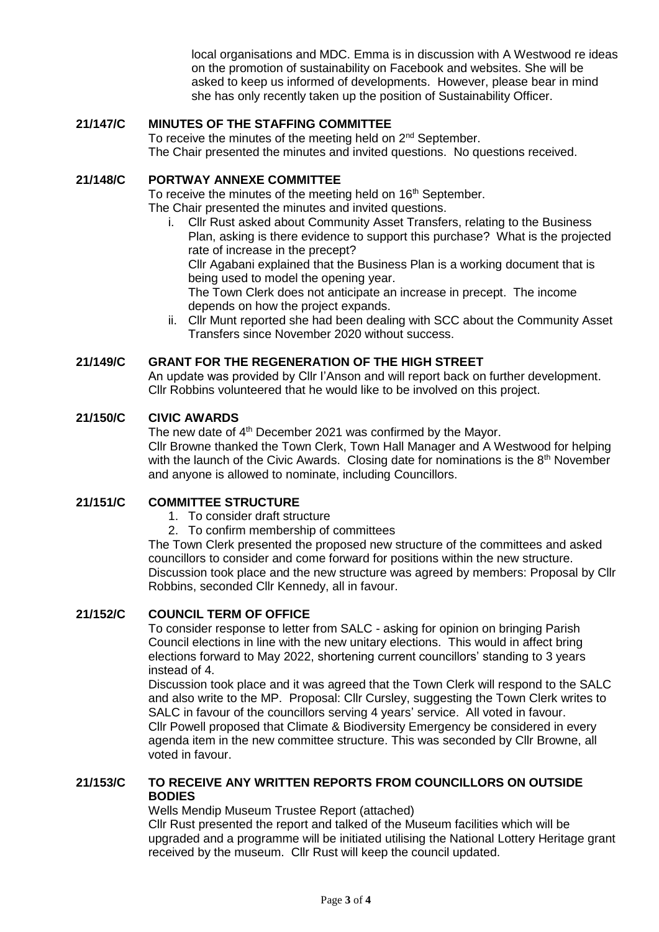local organisations and MDC. Emma is in discussion with A Westwood re ideas on the promotion of sustainability on Facebook and websites. She will be asked to keep us informed of developments. However, please bear in mind she has only recently taken up the position of Sustainability Officer.

## **21/147/C MINUTES OF THE STAFFING COMMITTEE**

To receive the minutes of the meeting held on 2<sup>nd</sup> September. The Chair presented the minutes and invited questions. No questions received.

### **21/148/C PORTWAY ANNEXE COMMITTEE**

To receive the minutes of the meeting held on 16<sup>th</sup> September. The Chair presented the minutes and invited questions.

i. Cllr Rust asked about Community Asset Transfers, relating to the Business Plan, asking is there evidence to support this purchase? What is the projected rate of increase in the precept?

Cllr Agabani explained that the Business Plan is a working document that is being used to model the opening year.

The Town Clerk does not anticipate an increase in precept. The income depends on how the project expands.

ii. Cllr Munt reported she had been dealing with SCC about the Community Asset Transfers since November 2020 without success.

### **21/149/C GRANT FOR THE REGENERATION OF THE HIGH STREET**

An update was provided by Cllr I'Anson and will report back on further development. Cllr Robbins volunteered that he would like to be involved on this project.

### **21/150/C CIVIC AWARDS**

The new date of 4<sup>th</sup> December 2021 was confirmed by the Mayor. Cllr Browne thanked the Town Clerk, Town Hall Manager and A Westwood for helping with the launch of the Civic Awards. Closing date for nominations is the  $8<sup>th</sup>$  November and anyone is allowed to nominate, including Councillors.

## **21/151/C COMMITTEE STRUCTURE**

- 1. To consider draft structure
- 2. To confirm membership of committees

The Town Clerk presented the proposed new structure of the committees and asked councillors to consider and come forward for positions within the new structure. Discussion took place and the new structure was agreed by members: Proposal by Cllr Robbins, seconded Cllr Kennedy, all in favour.

## **21/152/C COUNCIL TERM OF OFFICE**

To consider response to letter from SALC - asking for opinion on bringing Parish Council elections in line with the new unitary elections. This would in affect bring elections forward to May 2022, shortening current councillors' standing to 3 years instead of 4.

Discussion took place and it was agreed that the Town Clerk will respond to the SALC and also write to the MP. Proposal: Cllr Cursley, suggesting the Town Clerk writes to SALC in favour of the councillors serving 4 years' service. All voted in favour. Cllr Powell proposed that Climate & Biodiversity Emergency be considered in every agenda item in the new committee structure. This was seconded by Cllr Browne, all voted in favour.

## **21/153/C TO RECEIVE ANY WRITTEN REPORTS FROM COUNCILLORS ON OUTSIDE BODIES**

Wells Mendip Museum Trustee Report (attached)

Cllr Rust presented the report and talked of the Museum facilities which will be upgraded and a programme will be initiated utilising the National Lottery Heritage grant received by the museum. Cllr Rust will keep the council updated.